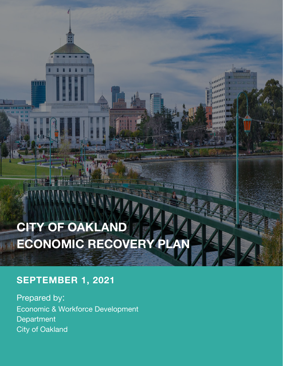# **CITY OF OAKLAND ECONOMIC RECOVERY PLAI**

#### **SEPTEMBER 1, 2021**

 $\Box$ 

Prepared by: Economic & Workforce Development Department City of Oakland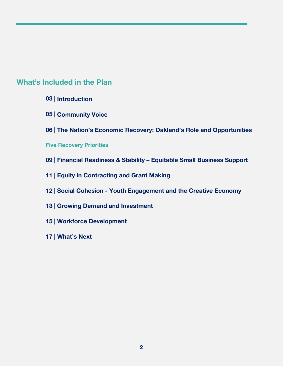#### **What's Included in the Plan**

- **| Introduction**
- **| Community Voice**
- **| The Nation's Economic Recovery: Oakland's Role and Opportunities**
- **Five Recovery Priorities**
- **| Financial Readiness & Stability – Equitable Small Business Support**
- **| Equity in Contracting and Grant Making**
- **| Social Cohesion - Youth Engagement and the Creative Economy**
- **| Growing Demand and Investment**
- **| Workforce Development**
- **| What's Next**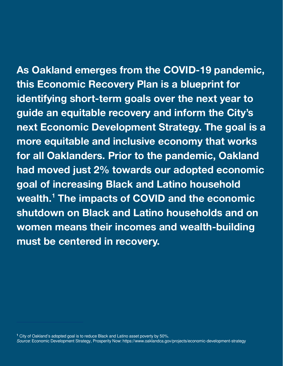<span id="page-2-0"></span>**As Oakland emerges from the COVID-19 pandemic, this Economic Recovery Plan is a blueprint for identifying short-term goals over the next year to guide an equitable recovery and inform the City's next Economic Development Strategy. The goal is a more equitable and inclusive economy that works for all Oaklanders. Prior to the pandemic, Oakland had moved just 2% towards our adopted economic goal of increasing Black and Latino household wealth. [1](#page-2-0) The impacts of COVID and the economic shutdown on Black and Latino households and on women means their incomes and wealth-building must be centered in recovery.**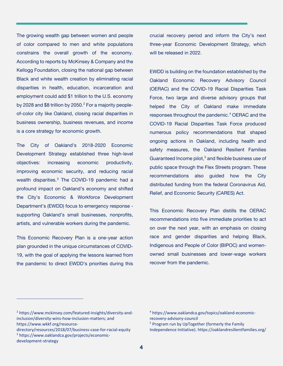The growing wealth gap between women and people of color compared to men and white populations constrains the overall growth of the economy. According to reports by McKinsey & Company and the Kellogg Foundation, closing the national gap between Black and white wealth creation by eliminating racial disparities in health, education, incarceration and employment could add \$1 trillion to the U.S. economy by [2](#page-3-0)028 and \$8 trillion by 2050.<sup>2</sup> For a majority peopleof-color city like Oakland, closing racial disparities in business ownership, business revenues, and income is a core strategy for economic growth.

The City of Oakland's 2018-2020 Economic Development Strategy established three high-level objectives: increasing economic productivity, improving economic security, and reducing racial wealth disparities.<sup>[3](#page-3-1)</sup> The COVID-19 pandemic had a profound impact on Oakland's economy and shifted the City's Economic & Workforce Development Department's (EWDD) focus to emergency response supporting Oakland's small businesses, nonprofits, artists, and vulnerable workers during the pandemic.

This Economic Recovery Plan is a one-year action plan grounded in the unique circumstances of COVID-19, with the goal of applying the lessons learned from the pandemic to direct EWDD's priorities during this crucial recovery period and inform the City's next three-year Economic Development Strategy, which will be released in 2022.

EWDD is building on the foundation established by the Oakland Economic Recovery Advisory Council (OERAC) and the COVID-19 Racial Disparities Task Force, two large and diverse advisory groups that helped the City of Oakland make immediate responses throughout the pandemic.<sup>[4](#page-3-0)</sup> OERAC and the COVID-19 Racial Disparities Task Force produced numerous policy recommendations that shaped ongoing actions in Oakland, including health and safety measures, the Oakland Resilient Families Guaranteed Income pilot, [5](#page-3-2) and flexible business use of public space through the Flex Streets program. These recommendations also guided how the City distributed funding from the federal Coronavirus Aid, Relief, and Economic Security (CARES) Act.

This Economic Recovery Plan distills the OERAC recommendations into five immediate priorities to act on over the next year, with an emphasis on closing race and gender disparities and helping Black, Indigenous and People of Color (BIPOC) and womenowned small businesses and lower-wage workers recover from the pandemic.

<span id="page-3-0"></span><sup>2</sup> [https://www.mckinsey.com/featured-insights/diversity-and](https://www.mckinsey.com/featured-insights/diversity-and-inclusion/diversity-wins-how-inclusion-matters)[inclusion/diversity-wins-how-inclusion-matters;](https://www.mckinsey.com/featured-insights/diversity-and-inclusion/diversity-wins-how-inclusion-matters) and [https://www.wkkf.org/resource-](https://www.wkkf.org/resource-directory/resources/2018/07/business-case-for-racial-equity)

<span id="page-3-2"></span><span id="page-3-1"></span>[directory/resources/2018/07/business-case-for-racial-equity](https://www.wkkf.org/resource-directory/resources/2018/07/business-case-for-racial-equity) <sup>3</sup> https://www.oaklandca.gov/projects/economicdevelopment-strategy

<sup>4</sup> https://www.oaklandca.gov/topics/oakland-economicrecovery-advisory-council

<sup>5</sup> Program run by UpTogether (formerly the Family Independence Initiative).<https://oaklandresilientfamilies.org/>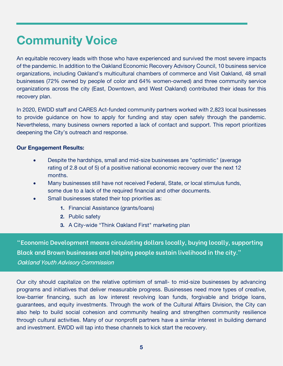#### **Community Voice**

An equitable recovery leads with those who have experienced and survived the most severe impacts of the pandemic. In addition to the Oakland Economic Recovery Advisory Council, 10 business service organizations, including Oakland's multicultural chambers of commerce and Visit Oakland, 48 small businesses (72% owned by people of color and 64% women-owned) and three community service organizations across the city (East, Downtown, and West Oakland) contributed their ideas for this recovery plan.

In 2020, EWDD staff and CARES Act-funded community partners worked with 2,823 local businesses to provide guidance on how to apply for funding and stay open safely through the pandemic. Nevertheless, many business owners reported a lack of contact and support. This report prioritizes deepening the City's outreach and response.

#### **Our Engagement Results:**

- Despite the hardships, small and mid-size businesses are "optimistic" (average rating of 2.8 out of 5) of a positive national economic recovery over the next 12 months.
- Many businesses still have not received Federal, State, or local stimulus funds, some due to a lack of the required financial and other documents.
- Small businesses stated their top priorities as:
	- **1.** Financial Assistance (grants/loans)
	- **2.** Public safety
	- **3.** A City-wide "Think Oakland First" marketing plan

**"Economic Development means circulating dollars locally, buying locally, supporting Black and Brown businesses and helping people sustain livelihood in the city."**  Oakland Youth Advisory Commission

Our city should capitalize on the relative optimism of small- to mid-size businesses by advancing programs and initiatives that deliver measurable progress. Businesses need more types of creative, low-barrier financing, such as low interest revolving loan funds, forgivable and bridge loans, guarantees, and equity investments. Through the work of the Cultural Affairs Division, the City can also help to build social cohesion and community healing and strengthen community resilience through cultural activities. Many of our nonprofit partners have a similar interest in building demand and investment. EWDD will tap into these channels to kick start the recovery.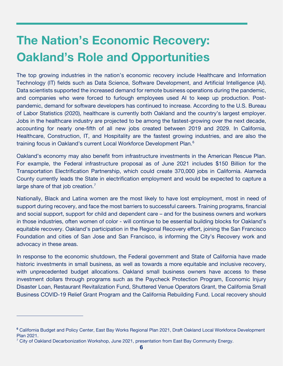# **The Nation's Economic Recovery: Oakland's Role and Opportunities**

The top growing industries in the nation's economic recovery include Healthcare and Information Technology (IT) fields such as Data Science, Software Development, and Artificial Intelligence (AI). Data scientists supported the increased demand for remote business operations during the pandemic, and companies who were forced to furlough employees used AI to keep up production. Postpandemic, demand for software developers has continued to increase. According to the U.S. Bureau of Labor Statistics (2020), healthcare is currently both Oakland and the country's largest employer. Jobs in the healthcare industry are projected to be among the fastest-growing over the next decade, accounting for nearly one-fifth of all new jobs created between 2019 and 2029. In California, Healthcare, Construction, IT, and Hospitality are the fastest growing industries, and are also the training focus in Oakland's current Local Workforce Development Plan.<sup>[6](#page-5-0)</sup>

Oakland's economy may also benefit from infrastructure investments in the American Rescue Plan. For example, the Federal infrastructure proposal as of June 2021 includes \$150 Billion for the Transportation Electrification Partnership, which could create 370,000 jobs in California. Alameda County currently leads the State in electrification employment and would be expected to capture a large share of that job creation.<sup>[7](#page-5-1)</sup>

Nationally, Black and Latina women are the most likely to have lost employment, most in need of support during recovery, and face the most barriers to successful careers. Training programs, financial and social support, support for child and dependent care – and for the business owners and workers in those industries, often women of color - will continue to be essential building blocks for Oakland's equitable recovery. Oakland's participation in the Regional Recovery effort, joining the San Francisco Foundation and cities of San Jose and San Francisco, is informing the City's Recovery work and advocacy in these areas.

In response to the economic shutdown, the Federal government and State of California have made historic investments in small business, as well as towards a more equitable and inclusive recovery, with unprecedented budget allocations. Oakland small business owners have access to these investment dollars through programs such as the Paycheck Protection Program, Economic Injury Disaster Loan, Restaurant Revitalization Fund, Shuttered Venue Operators Grant, the California Small Business COVID-19 Relief Grant Program and the California Rebuilding Fund. Local recovery should

<span id="page-5-0"></span>**<sup>6</sup>** California Budget and Policy Center, East Bay Works Regional Plan 2021, Draft Oakland Local Workforce Development Plan 2021.

<span id="page-5-1"></span> $7$  City of Oakland Decarbonization Workshop, June 2021, presentation from East Bay Community Energy.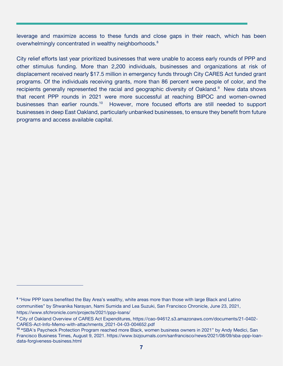leverage and maximize access to these funds and close gaps in their reach, which has been overwhelmingly concentrated in wealthy neighborhoods.<sup>[8](#page-6-0)</sup>

City relief efforts last year prioritized businesses that were unable to access early rounds of PPP and other stimulus funding. More than 2,200 individuals, businesses and organizations at risk of displacement received nearly \$17.5 million in emergency funds through City CARES Act funded grant programs. Of the individuals receiving grants, more than 86 percent were people of color, and the recipients generally represented the racial and geographic diversity of Oakland.<sup>[9](#page-6-1)</sup> New data shows that recent PPP rounds in 2021 were more successful at reaching BIPOC and women-owned businesses than earlier rounds.<sup>[10](#page-6-2)</sup> However, more focused efforts are still needed to support businesses in deep East Oakland, particularly unbanked businesses, to ensure they benefit from future programs and access available capital.

<span id="page-6-0"></span>**<sup>8</sup>** "How PPP loans benefited the Bay Area's wealthy, white areas more than those with large Black and Latino communities" by Shwanika Narayan, Nami Sumida and Lea Suzuki, San Francisco Chronicle, June 23, 2021, <https://www.sfchronicle.com/projects/2021/ppp-loans/>

<span id="page-6-1"></span>**<sup>9</sup>** City of Oakland Overview of CARES Act Expenditures, [https://cao-94612.s3.amazonaws.com/documents/21-0402-](https://cao-94612.s3.amazonaws.com/documents/21-0402-CARES-Act-Info-Memo-with-attachments_2021-04-03-004652.pdf) [CARES-Act-Info-Memo-with-attachments\\_2021-04-03-004652.pdf](https://cao-94612.s3.amazonaws.com/documents/21-0402-CARES-Act-Info-Memo-with-attachments_2021-04-03-004652.pdf) 

<span id="page-6-2"></span>**<sup>10</sup> "**SBA's Paycheck Protection Program reached more Black, women business owners in 2021" by Andy Medici, San Francisco Business Times, August 9, 2021. [https://www.bizjournals.com/sanfrancisco/news/2021/08/09/sba-ppp-loan](https://www.bizjournals.com/sanfrancisco/news/2021/08/09/sba-ppp-loan-data-forgiveness-business.html)[data-forgiveness-business.html](https://www.bizjournals.com/sanfrancisco/news/2021/08/09/sba-ppp-loan-data-forgiveness-business.html)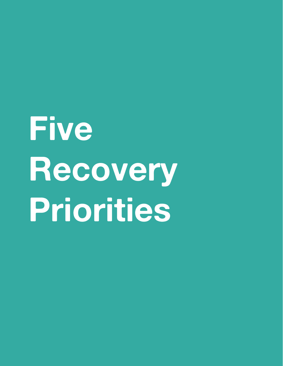# **Five Recovery Priorities**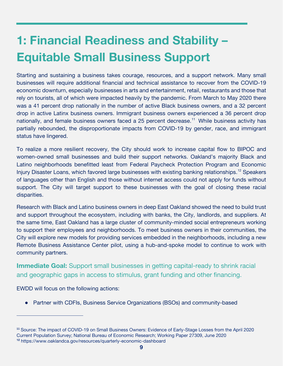# **1: Financial Readiness and Stability – Equitable Small Business Support**

Starting and sustaining a business takes courage, resources, and a support network. Many small businesses will require additional financial and technical assistance to recover from the COVID-19 economic downturn, especially businesses in arts and entertainment, retail, restaurants and those that rely on tourists, all of which were impacted heavily by the pandemic. From March to May 2020 there was a 41 percent drop nationally in the number of active Black business owners, and a 32 percent drop in active Latinx business owners. Immigrant business owners experienced a 36 percent drop nationally, and female business owners faced a 25 percent decrease.<sup>[11](#page-8-0)</sup> While business activity has partially rebounded, the disproportionate impacts from COVID-19 by gender, race, and immigrant status have lingered.

To realize a more resilient recovery, the City should work to increase capital flow to BIPOC and women-owned small businesses and build their support networks. Oakland's majority Black and Latino neighborhoods benefitted least from Federal Paycheck Protection Program and Economic Injury Disaster Loans, which favored large businesses with existing banking relationships.<sup>[12](#page-8-1)</sup> Speakers of languages other than English and those without internet access could not apply for funds without support. The City will target support to these businesses with the goal of closing these racial disparities.

Research with Black and Latino business owners in deep East Oakland showed the need to build trust and support throughout the ecosystem, including with banks, the City, landlords, and suppliers. At the same time, East Oakland has a large cluster of community-minded social entrepreneurs working to support their employees and neighborhoods. To meet business owners in their communities, the City will explore new models for providing services embedded in the neighborhoods, including a new Remote Business Assistance Center pilot, using a hub-and-spoke model to continue to work with community partners.

**Immediate Goal:** Support small businesses in getting capital-ready to shrink racial and geographic gaps in access to stimulus, grant funding and other financing.

EWDD will focus on the following actions:

• Partner with CDFIs, Business Service Organizations (BSOs) and community-based

<span id="page-8-1"></span><span id="page-8-0"></span>**<sup>11</sup>** Source: The impact of COVID-19 on Small Business Owners: Evidence of Early-Stage Losses from the April 2020 Current Population Survey; National Bureau of Economic Research; Working Paper 27309, June 2020 **<sup>12</sup>** https://www.oaklandca.gov/resources/quarterly-economic-dashboard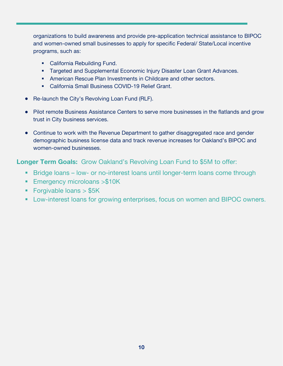organizations to build awareness and provide pre-application technical assistance to BIPOC and women-owned small businesses to apply for specific Federal/ State/Local incentive programs, such as:

- **California Rebuilding Fund.**
- **Targeted and Supplemental Economic Injury Disaster Loan Grant Advances.**
- **American Rescue Plan Investments in Childcare and other sectors.**
- California Small Business COVID-19 Relief Grant.
- Re-launch the City's Revolving Loan Fund (RLF).
- Pilot remote Business Assistance Centers to serve more businesses in the flatlands and grow trust in City business services.
- Continue to work with the Revenue Department to gather disaggregated race and gender demographic business license data and track revenue increases for Oakland's BIPOC and women-owned businesses.

**Longer Term Goals:** Grow Oakland's Revolving Loan Fund to \$5M to offer:

- **Bridge loans low- or no-interest loans until longer-term loans come through**
- **Emergency microloans >\$10K**
- **Forgivable loans > \$5K**
- **Low-interest loans for growing enterprises, focus on women and BIPOC owners.**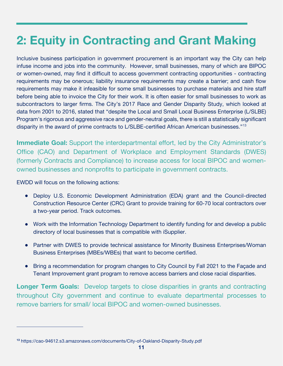## **2: Equity in Contracting and Grant Making**

Inclusive business participation in government procurement is an important way the City can help infuse income and jobs into the community. However, small businesses, many of which are BIPOC or women-owned, may find it difficult to access government contracting opportunities - contracting requirements may be onerous; liability insurance requirements may create a barrier; and cash flow requirements may make it infeasible for some small businesses to purchase materials and hire staff before being able to invoice the City for their work. It is often easier for small businesses to work as subcontractors to larger firms. The City's 2017 Race and Gender Disparity Study, which looked at data from 2001 to 2016, stated that "despite the Local and Small Local Business Enterprise (L/SLBE) Program's rigorous and aggressive race and gender-neutral goals, there is still a statistically significant disparity in the award of prime contracts to L/SLBE-certified African American businesses."[13](#page-10-0)

**Immediate Goal:** Support the interdepartmental effort, led by the City Administrator's Office (CAO) and Department of Workplace and Employment Standards (DWES) (formerly Contracts and Compliance) to increase access for local BIPOC and womenowned businesses and nonprofits to participate in government contracts.

EWDD will focus on the following actions:

- Deploy U.S. Economic Development Administration (EDA) grant and the Council-directed Construction Resource Center (CRC) Grant to provide training for 60-70 local contractors over a two-year period. Track outcomes.
- Work with the Information Technology Department to identify funding for and develop a public directory of local businesses that is compatible with iSupplier.
- Partner with DWES to provide technical assistance for Minority Business Enterprises/Woman Business Enterprises (MBEs/WBEs) that want to become certified.
- Bring a recommendation for program changes to City Council by Fall 2021 to the Façade and Tenant Improvement grant program to remove access barriers and close racial disparities.

**Longer Term Goals:** Develop targets to close disparities in grants and contracting throughout City government and continue to evaluate departmental processes to remove barriers for small/ local BIPOC and women-owned businesses.

<span id="page-10-0"></span>**<sup>13</sup>** https://cao-94612.s3.amazonaws.com/documents/City-of-Oakland-Disparity-Study.pdf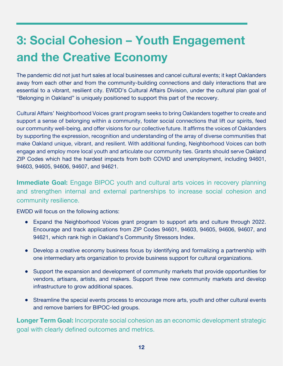# **3: Social Cohesion – Youth Engagement and the Creative Economy**

The pandemic did not just hurt sales at local businesses and cancel cultural events; it kept Oaklanders away from each other and from the community-building connections and daily interactions that are essential to a vibrant, resilient city. EWDD's Cultural Affairs Division, under the cultural plan goal of "Belonging in Oakland" is uniquely positioned to support this part of the recovery.

Cultural Affairs' Neighborhood Voices grant program seeks to bring Oaklanders together to create and support a sense of belonging within a community, foster social connections that lift our spirits, feed our community well-being, and offer visions for our collective future. It affirms the voices of Oaklanders by supporting the expression, recognition and understanding of the array of diverse communities that make Oakland unique, vibrant, and resilient. With additional funding, Neighborhood Voices can both engage and employ more local youth and articulate our community ties. Grants should serve Oakland ZIP Codes which had the hardest impacts from both COVID and unemployment, including 94601, 94603, 94605, 94606, 94607, and 94621.

**Immediate Goal:** Engage BIPOC youth and cultural arts voices in recovery planning and strengthen internal and external partnerships to increase social cohesion and community resilience.

EWDD will focus on the following actions:

- Expand the Neighborhood Voices grant program to support arts and culture through 2022. Encourage and track applications from ZIP Codes 94601, 94603, 94605, 94606, 94607, and 94621, which rank high in Oakland's Community Stressors Index.
- Develop a creative economy business focus by identifying and formalizing a partnership with one intermediary arts organization to provide business support for cultural organizations.
- Support the expansion and development of community markets that provide opportunities for vendors, artisans, artists, and makers. Support three new community markets and develop infrastructure to grow additional spaces.
- Streamline the special events process to encourage more arts, youth and other cultural events and remove barriers for BIPOC-led groups.

**Longer Term Goal:** Incorporate social cohesion as an economic development strategic goal with clearly defined outcomes and metrics.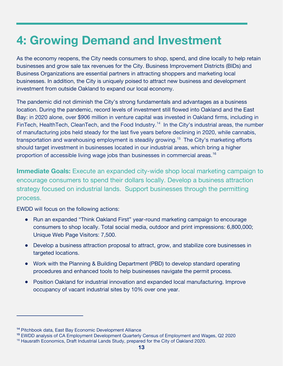#### **4: Growing Demand and Investment**

As the economy reopens, the City needs consumers to shop, spend, and dine locally to help retain businesses and grow sale tax revenues for the City. Business Improvement Districts (BIDs) and Business Organizations are essential partners in attracting shoppers and marketing local businesses. In addition, the City is uniquely poised to attract new business and development investment from outside Oakland to expand our local economy.

The pandemic did not diminish the City's strong fundamentals and advantages as a business location. During the pandemic, record levels of investment still flowed into Oakland and the East Bay: in 2020 alone, over \$906 million in venture capital was invested in Oakland firms, including in FinTech, HealthTech, CleanTech, and the Food Industry.<sup>[14](#page-12-0)</sup> In the City's industrial areas, the number of manufacturing jobs held steady for the last five years before declining in 2020, while cannabis, transportation and warehousing employment is steadily growing.<sup>15</sup> The City's marketing efforts should target investment in businesses located in our industrial areas, which bring a higher proportion of accessible living wage jobs than businesses in commercial areas.<sup>[16](#page-12-2)</sup>

**Immediate Goals:** Execute an expanded city-wide shop local marketing campaign to encourage consumers to spend their dollars locally. Develop a business attraction strategy focused on industrial lands. Support businesses through the permitting process.

EWDD will focus on the following actions:

- Run an expanded "Think Oakland First" year-round marketing campaign to encourage consumers to shop locally. Total social media, outdoor and print impressions: 6,800,000; Unique Web Page Visitors: 7,500.
- Develop a business attraction proposal to attract, grow, and stabilize core businesses in targeted locations.
- Work with the Planning & Building Department (PBD) to develop standard operating procedures and enhanced tools to help businesses navigate the permit process.
- Position Oakland for industrial innovation and expanded local manufacturing. Improve occupancy of vacant industrial sites by 10% over one year.

<span id="page-12-0"></span>**<sup>14</sup>** Pitchbook data, East Bay Economic Development Alliance

<span id="page-12-1"></span>**<sup>15</sup>** EWDD analysis of CA Employment Development Quarterly Census of Employment and Wages, Q2 2020

<span id="page-12-2"></span><sup>&</sup>lt;sup>16</sup> Hausrath Economics, Draft Industrial Lands Study, prepared for the City of Oakland 2020.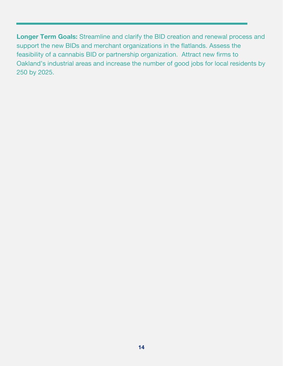**Longer Term Goals:** Streamline and clarify the BID creation and renewal process and support the new BIDs and merchant organizations in the flatlands. Assess the feasibility of a cannabis BID or partnership organization. Attract new firms to Oakland's industrial areas and increase the number of good jobs for local residents by 250 by 2025.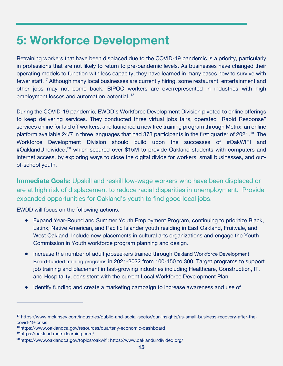#### **5: Workforce Development**

Retraining workers that have been displaced due to the COVID-19 pandemic is a priority, particularly in professions that are not likely to return to pre-pandemic levels. As businesses have changed their operating models to function with less capacity, they have learned in many cases how to survive with fewer staff.[17](#page-14-0) Although many local businesses are currently hiring, some restaurant, entertainment and other jobs may not come back. BIPOC workers are overrepresented in industries with high employment losses and automation potential.<sup>[18](#page-14-1)</sup>

During the COVID-19 pandemic, EWDD's Workforce Development Division pivoted to online offerings to keep delivering services. They conducted three virtual jobs fairs, operated "Rapid Response" services online for laid off workers, and launched a new free training program through Metrix, an online platform available 24/7 in three languages that had 373 participants in the first quarter of 2021.<sup>[19](#page-14-2)</sup> The Workforce Development Division should build upon the successes of #OakWIFI and #OaklandUndivided,<sup>[20](#page-14-3)</sup> which secured over \$15M to provide Oakland students with computers and internet access, by exploring ways to close the digital divide for workers, small businesses, and outof-school youth.

**Immediate Goals:** Upskill and reskill low-wage workers who have been displaced or are at high risk of displacement to reduce racial disparities in unemployment. Provide expanded opportunities for Oakland's youth to find good local jobs.

EWDD will focus on the following actions:

- Expand Year-Round and Summer Youth Employment Program, continuing to prioritize Black, Latinx, Native American, and Pacific Islander youth residing in East Oakland, Fruitvale, and West Oakland. Include new placements in cultural arts organizations and engage the Youth Commission in Youth workforce program planning and design.
- Increase the number of adult jobseekers trained through Oakland Workforce Development Board-funded training programs in 2021-2022 from 100-150 to 300. Target programs to support job training and placement in fast-growing industries including Healthcare, Construction, IT, and Hospitality, consistent with the current Local Workforce Development Plan.
- Identify funding and create a marketing campaign to increase awareness and use of

<span id="page-14-0"></span>**<sup>17</sup>** https://www.mckinsey.com/industries/public-and-social-sector/our-insights/us-small-business-recovery-after-thecovid-19-crisis

<span id="page-14-1"></span>**<sup>18</sup>** https://www.oaklandca.gov/resources/quarterly-economic-dashboard

<span id="page-14-2"></span>**<sup>19</sup>** https://oakland.metrixlearning.com/

<span id="page-14-3"></span>**<sup>20</sup>** https://www.oaklandca.gov/topics/oakwifi; https://www.oaklandundivided.org/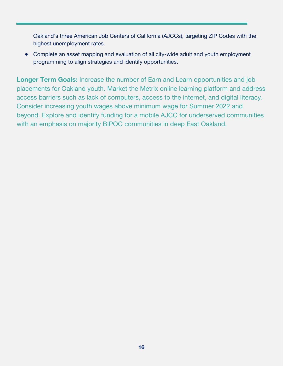Oakland's three American Job Centers of California (AJCCs), targeting ZIP Codes with the highest unemployment rates.

• Complete an asset mapping and evaluation of all city-wide adult and youth employment programming to align strategies and identify opportunities.

**Longer Term Goals:** Increase the number of Earn and Learn opportunities and job placements for Oakland youth. Market the Metrix online learning platform and address access barriers such as lack of computers, access to the internet, and digital literacy. Consider increasing youth wages above minimum wage for Summer 2022 and beyond. Explore and identify funding for a mobile AJCC for underserved communities with an emphasis on majority BIPOC communities in deep East Oakland.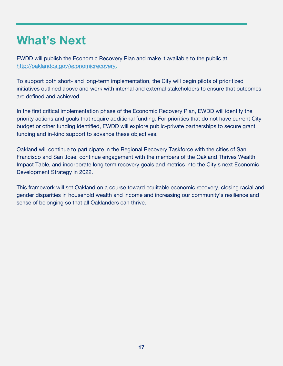#### **What's Next**

EWDD will publish the Economic Recovery Plan and make it available to the public at [http://oaklandca.gov/economicrecovery.](http://oaklandca.gov/economicrecovery)

To support both short- and long-term implementation, the City will begin pilots of prioritized initiatives outlined above and work with internal and external stakeholders to ensure that outcomes are defined and achieved.

In the first critical implementation phase of the Economic Recovery Plan, EWDD will identify the priority actions and goals that require additional funding. For priorities that do not have current City budget or other funding identified, EWDD will explore public-private partnerships to secure grant funding and in-kind support to advance these objectives.

Oakland will continue to participate in the Regional Recovery Taskforce with the cities of San Francisco and San Jose, continue engagement with the members of the Oakland Thrives Wealth Impact Table, and incorporate long term recovery goals and metrics into the City's next Economic Development Strategy in 2022.

This framework will set Oakland on a course toward equitable economic recovery, closing racial and gender disparities in household wealth and income and increasing our community's resilience and sense of belonging so that all Oaklanders can thrive.